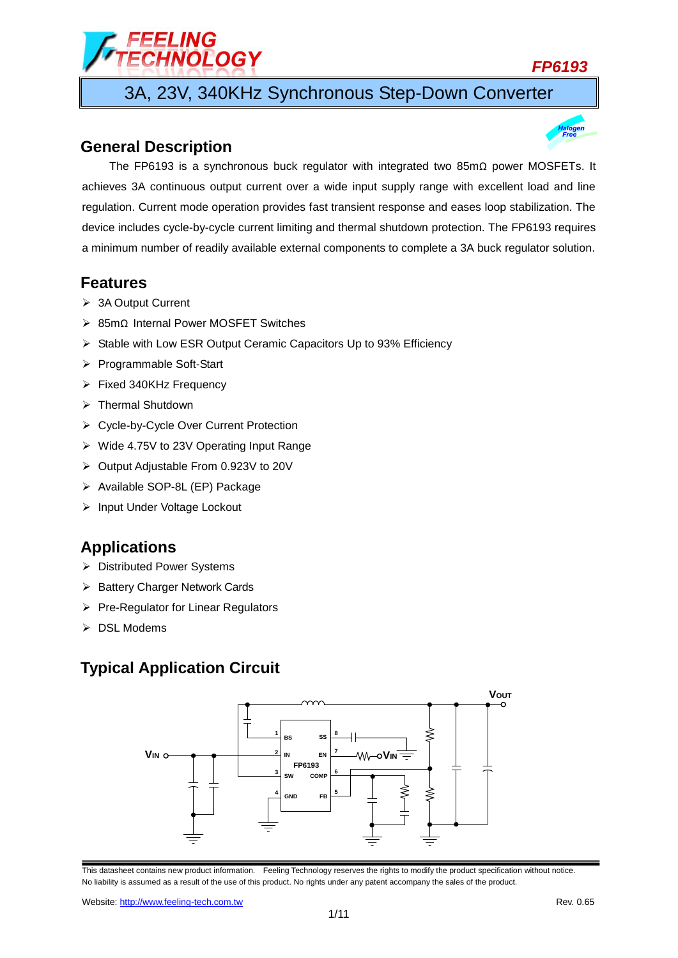# ELING<br>HNOLOGY

## *FP6193*

3A, 23V, 340KHz Synchronous Step-Down Converter

## **General Description**



## **Features**

- > 3A Output Current
- 85mΩ Internal Power MOSFET Switches
- $\triangleright$  Stable with Low ESR Output Ceramic Capacitors Up to 93% Efficiency
- ▶ Programmable Soft-Start
- $\triangleright$  Fixed 340KHz Frequency
- > Thermal Shutdown
- Cycle-by-Cycle Over Current Protection
- Wide 4.75V to 23V Operating Input Range
- Output Adjustable From 0.923V to 20V
- > Available SOP-8L (EP) Package
- > Input Under Voltage Lockout

## **Applications**

- Distributed Power Systems
- $\triangleright$  Battery Charger Network Cards
- $\triangleright$  Pre-Regulator for Linear Regulators
- $\triangleright$  DSL Modems

## **Typical Application Circuit**

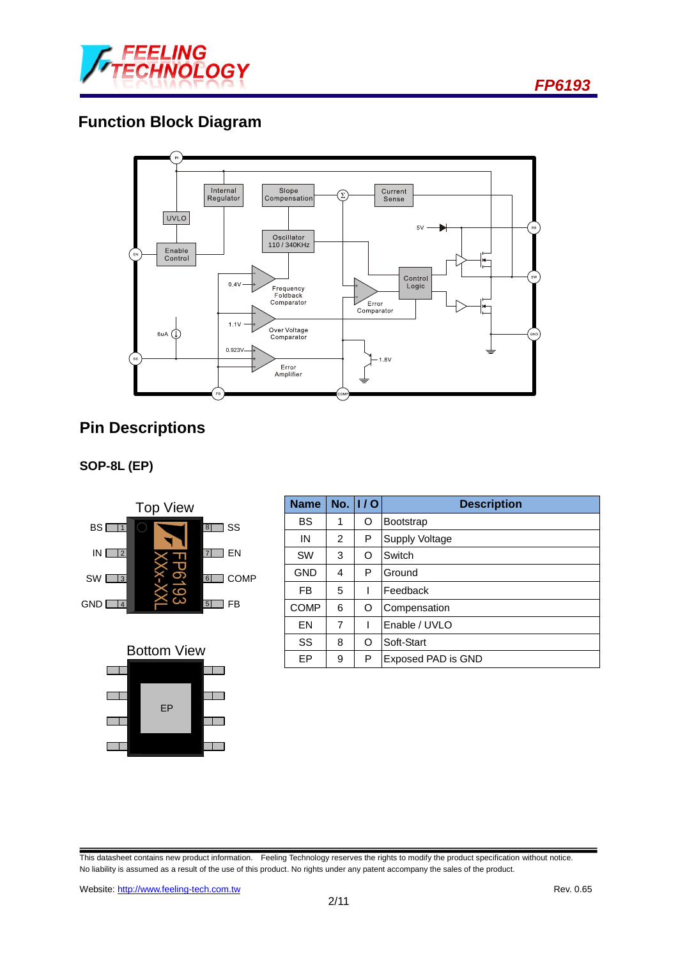

*FP6193*

# **Function Block Diagram**



# **Pin Descriptions**







| <b>Name</b> |                | No. $ 1/0 $ | <b>Description</b>    |  |  |
|-------------|----------------|-------------|-----------------------|--|--|
| <b>BS</b>   | 1              | O           | <b>Bootstrap</b>      |  |  |
| IN          | $\overline{2}$ | Р           | <b>Supply Voltage</b> |  |  |
| <b>SW</b>   | 3              | O           | Switch                |  |  |
| <b>GND</b>  | 4              | P           | Ground                |  |  |
| FB          | 5              | I           | Feedback              |  |  |
| <b>COMP</b> | 6              | O           | Compensation          |  |  |
| EN          | 7              |             | Enable / UVLO         |  |  |
| SS          | 8              | O           | Soft-Start            |  |  |
| EP          | 9              | P           | Exposed PAD is GND    |  |  |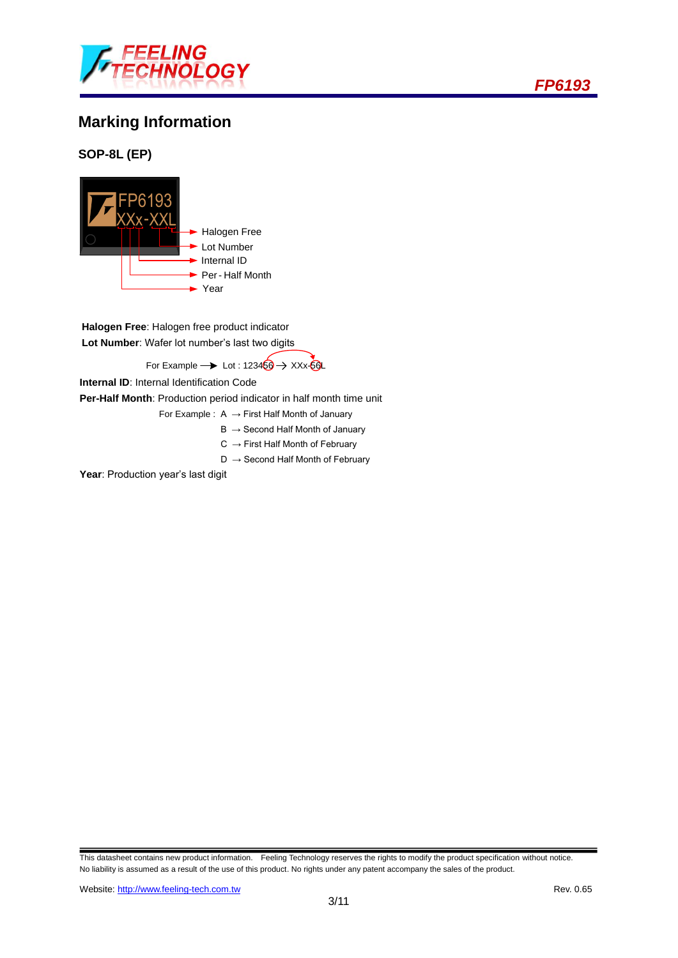

# **Marking Information**

**SOP-8L (EP)**



**Halogen Free**: Halogen free product indicator **Lot Number**: Wafer lot number's last two digits

For Example  $\rightarrow$  Lot : 123456  $\rightarrow$  XXx-56L

**Internal ID**: Internal Identification Code

**Per-Half Month**: Production period indicator in half month time unit

- For Example :  $A \rightarrow$  First Half Month of January
	- $B \rightarrow$  Second Half Month of January
	- $C \rightarrow$  First Half Month of February
	- $D \rightarrow$  Second Half Month of February

Year: Production year's last digit

This datasheet contains new product information. Feeling Technology reserves the rights to modify the product specification without notice. No liability is assumed as a result of the use of this product. No rights under any patent accompany the sales of the product.



*FP6193*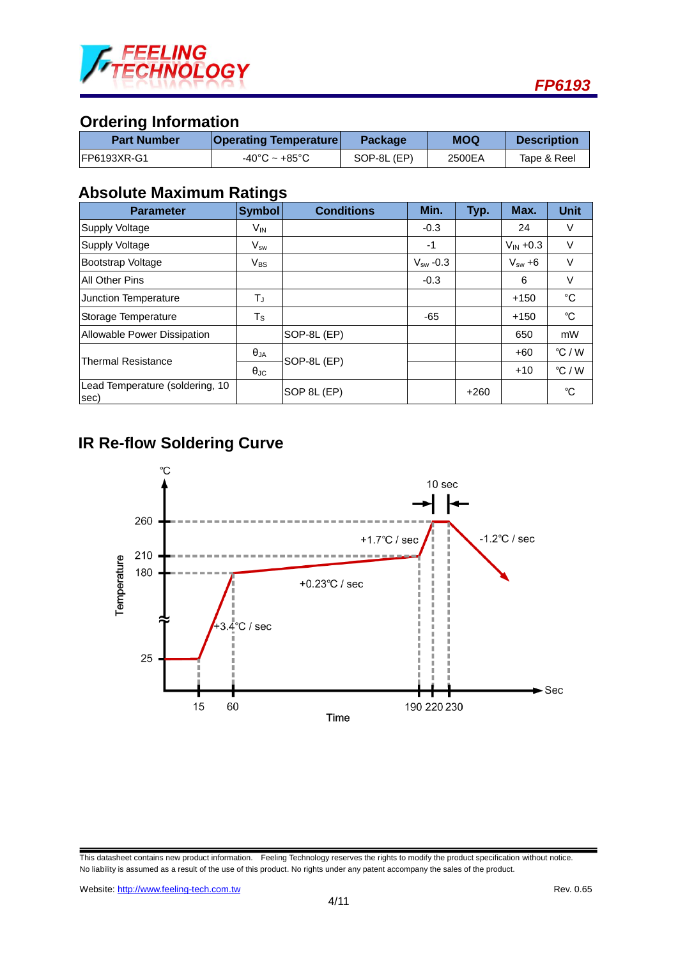

# **Ordering Information**

| <b>Part Number</b>  | <b>Operating Temperature</b> | <b>Package</b> | <b>MOQ</b> | <b>Description</b> |
|---------------------|------------------------------|----------------|------------|--------------------|
| <b>IFP6193XR-G1</b> | -40°C ~ +85°C                | SOP-8L (EP)    | 2500EA     | Tape & Reel        |

## **Absolute Maximum Ratings**

| <b>Parameter</b>                        | <b>Symbol</b>        | <b>Conditions</b> | Min.          | Typ.   | Max.                  | <b>Unit</b>     |
|-----------------------------------------|----------------------|-------------------|---------------|--------|-----------------------|-----------------|
| Supply Voltage                          | V <sub>IN</sub>      |                   | $-0.3$        |        | 24                    | V               |
| Supply Voltage                          | $V_{sw}$             |                   | -1            |        | $V_{\text{IN}} + 0.3$ | V               |
| <b>Bootstrap Voltage</b>                | $V_{BS}$             |                   | $V_{sw}$ -0.3 |        | $V_{sw} + 6$          | V               |
| <b>All Other Pins</b>                   |                      |                   | $-0.3$        |        | 6                     | V               |
| Junction Temperature                    | TJ                   |                   |               |        | $+150$                | °C              |
| Storage Temperature                     | $T_S$                |                   | $-65$         |        | $+150$                | °C              |
| Allowable Power Dissipation             |                      | SOP-8L (EP)       |               |        | 650                   | mW              |
| <b>Thermal Resistance</b>               | $\theta_{JA}$        | SOP-8L (EP)       |               |        | $+60$                 | °C/W            |
|                                         | $\theta_{\text{JC}}$ |                   |               |        | $+10$                 | $\degree$ C / W |
| Lead Temperature (soldering, 10<br>sec) |                      | SOP 8L (EP)       |               | $+260$ |                       | °C              |

## **IR Re-flow Soldering Curve**



This datasheet contains new product information. Feeling Technology reserves the rights to modify the product specification without notice. No liability is assumed as a result of the use of this product. No rights under any patent accompany the sales of the product.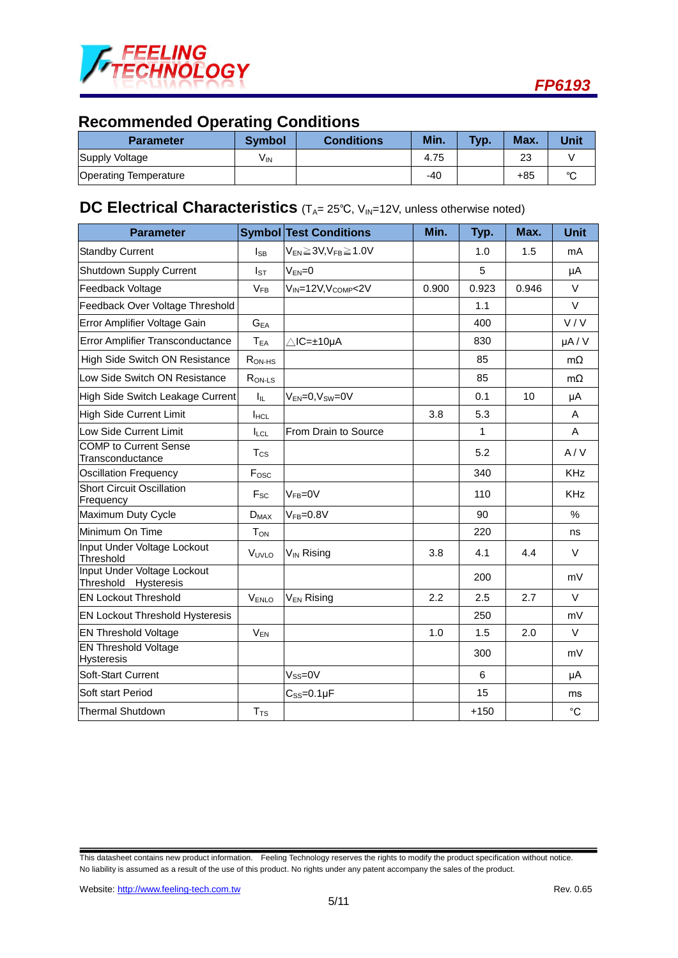

# **Recommended Operating Conditions**

| <b>Parameter</b>             | <b>Symbol</b>   | <b>Conditions</b> | Min.  | <b>Typ</b> | Max.  | Unit   |
|------------------------------|-----------------|-------------------|-------|------------|-------|--------|
| Supply Voltage               | V <sub>IN</sub> |                   | 4.75  |            | 23    |        |
| <b>Operating Temperature</b> |                 |                   | $-40$ |            | $+85$ | $\sim$ |

# **DC Electrical Characteristics** (T<sub>A</sub>= 25°C, V<sub>IN</sub>=12V, unless otherwise noted)

| <b>Parameter</b>                                    |                            | <b>Symbol Test Conditions</b>               | Min.  | Typ.   | Max.  | <b>Unit</b> |
|-----------------------------------------------------|----------------------------|---------------------------------------------|-------|--------|-------|-------------|
| <b>Standby Current</b>                              | $I_{SB}$                   | $V_{EN} \geq 3V$ , $V_{FB} \geq 1.0V$       |       | 1.0    | 1.5   | mA          |
| <b>Shutdown Supply Current</b>                      | $I_{ST}$                   | $V_{EN}=0$                                  |       | 5      |       | μA          |
| Feedback Voltage                                    | $V_{FB}$                   | V <sub>IN</sub> =12V, V <sub>COMP</sub> <2V | 0.900 | 0.923  | 0.946 | V           |
| Feedback Over Voltage Threshold                     |                            |                                             |       | 1.1    |       | $\vee$      |
| Error Amplifier Voltage Gain                        | $\mathbf{G}_{\mathsf{EA}}$ |                                             |       | 400    |       | V/V         |
| Error Amplifier Transconductance                    | $T_{EA}$                   | ∆lC=±10µA                                   |       | 830    |       | $\mu$ A/V   |
| High Side Switch ON Resistance                      | $R_{ON-HS}$                |                                             |       | 85     |       | $m\Omega$   |
| Low Side Switch ON Resistance                       | R <sub>ON-LS</sub>         |                                             |       | 85     |       | $m\Omega$   |
| High Side Switch Leakage Current                    | Iщ.                        | $V_{EN}=0, V_{SW}=0V$                       |       | 0.1    | 10    | μA          |
| <b>High Side Current Limit</b>                      | <b>IHCL</b>                |                                             | 3.8   | 5.3    |       | A           |
| Low Side Current Limit                              | <b>ILCL</b>                | From Drain to Source                        |       | 1      |       | A           |
| <b>COMP</b> to Current Sense<br>Transconductance    | $T_{\rm CS}$               |                                             |       | 5.2    |       | A/V         |
| <b>Oscillation Frequency</b>                        | F <sub>osc</sub>           |                                             |       | 340    |       | <b>KHz</b>  |
| <b>Short Circuit Oscillation</b><br>Frequency       | $F_{SC}$                   | $VFR=0V$                                    |       | 110    |       | <b>KHz</b>  |
| Maximum Duty Cycle                                  | $D_{MAX}$                  | $VFB=0.8V$                                  |       | 90     |       | $\%$        |
| Minimum On Time                                     | <b>T</b> <sub>ON</sub>     |                                             |       | 220    |       | ns          |
| Input Under Voltage Lockout<br>Threshold            | VUVLO                      | $V_{IN}$ Rising                             | 3.8   | 4.1    | 4.4   | $\vee$      |
| Input Under Voltage Lockout<br>Threshold Hysteresis |                            |                                             |       | 200    |       | mV          |
| <b>EN Lockout Threshold</b>                         | V <sub>ENLO</sub>          | V <sub>EN</sub> Rising                      | 2.2   | 2.5    | 2.7   | $\vee$      |
| <b>EN Lockout Threshold Hysteresis</b>              |                            |                                             |       | 250    |       | mV          |
| <b>EN Threshold Voltage</b>                         | $V_{EN}$                   |                                             | 1.0   | 1.5    | 2.0   | V           |
| <b>EN Threshold Voltage</b><br><b>Hysteresis</b>    |                            |                                             |       | 300    |       | mV          |
| Soft-Start Current                                  |                            | $V_{SS}=0V$                                 |       | 6      |       | μA          |
| Soft start Period                                   |                            | $C_{SS} = 0.1 \mu F$                        |       | 15     |       | ms          |
| <b>Thermal Shutdown</b>                             | T <sub>TS</sub>            |                                             |       | $+150$ |       | $^{\circ}C$ |

This datasheet contains new product information. Feeling Technology reserves the rights to modify the product specification without notice. No liability is assumed as a result of the use of this product. No rights under any patent accompany the sales of the product.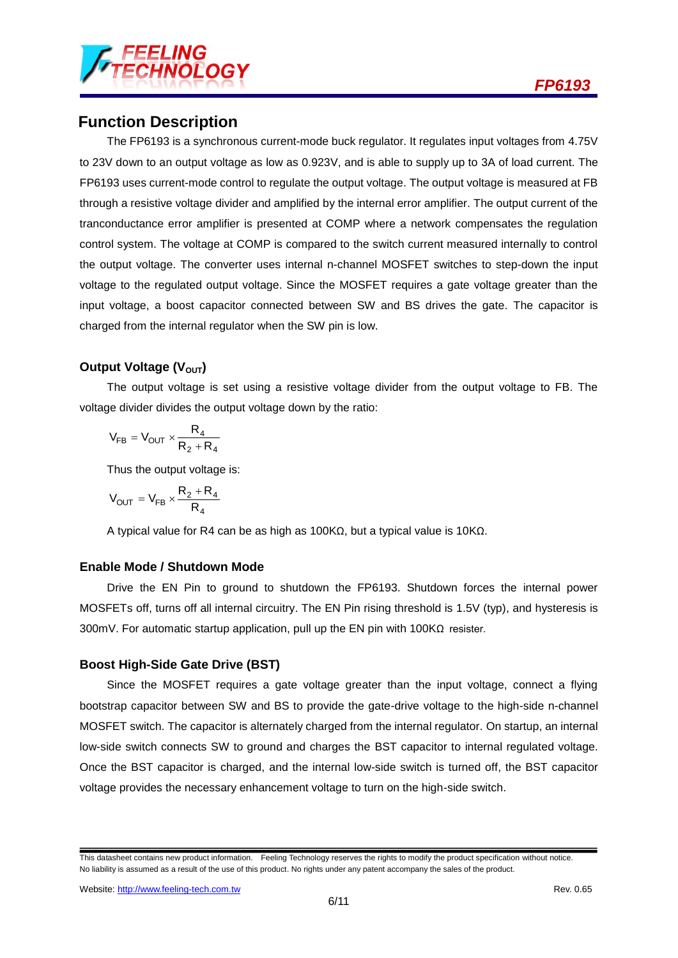

## **Function Description**

The FP6193 is a synchronous current-mode buck regulator. It regulates input voltages from 4.75V to 23V down to an output voltage as low as 0.923V, and is able to supply up to 3A of load current. The FP6193 uses current-mode control to regulate the output voltage. The output voltage is measured at FB through a resistive voltage divider and amplified by the internal error amplifier. The output current of the tranconductance error amplifier is presented at COMP where a network compensates the regulation control system. The voltage at COMP is compared to the switch current measured internally to control the output voltage. The converter uses internal n-channel MOSFET switches to step-down the input voltage to the regulated output voltage. Since the MOSFET requires a gate voltage greater than the input voltage, a boost capacitor connected between SW and BS drives the gate. The capacitor is charged from the internal regulator when the SW pin is low.

### **Output Voltage (V<sub>OUT</sub>)**

The output voltage is set using a resistive voltage divider from the output voltage to FB. The voltage divider divides the output voltage down by the ratio:

$$
V_{FB}=V_{OUT}\times\frac{R_4}{R_2+R_4}
$$

Thus the output voltage is:

$$
V_{OUT} = V_{FB} \times \frac{R_2 + R_4}{R_4}
$$

A typical value for R4 can be as high as 100KΩ, but a typical value is 10KΩ.

#### **Enable Mode / Shutdown Mode**

Drive the EN Pin to ground to shutdown the FP6193. Shutdown forces the internal power MOSFETs off, turns off all internal circuitry. The EN Pin rising threshold is 1.5V (typ), and hysteresis is 300mV. For automatic startup application, pull up the EN pin with 100KΩ resister.

#### **Boost High-Side Gate Drive (BST)**

Since the MOSFET requires a gate voltage greater than the input voltage, connect a flying bootstrap capacitor between SW and BS to provide the gate-drive voltage to the high-side n-channel MOSFET switch. The capacitor is alternately charged from the internal regulator. On startup, an internal low-side switch connects SW to ground and charges the BST capacitor to internal regulated voltage. Once the BST capacitor is charged, and the internal low-side switch is turned off, the BST capacitor voltage provides the necessary enhancement voltage to turn on the high-side switch.

This datasheet contains new product information. Feeling Technology reserves the rights to modify the product specification without notice. No liability is assumed as a result of the use of this product. No rights under any patent accompany the sales of the product.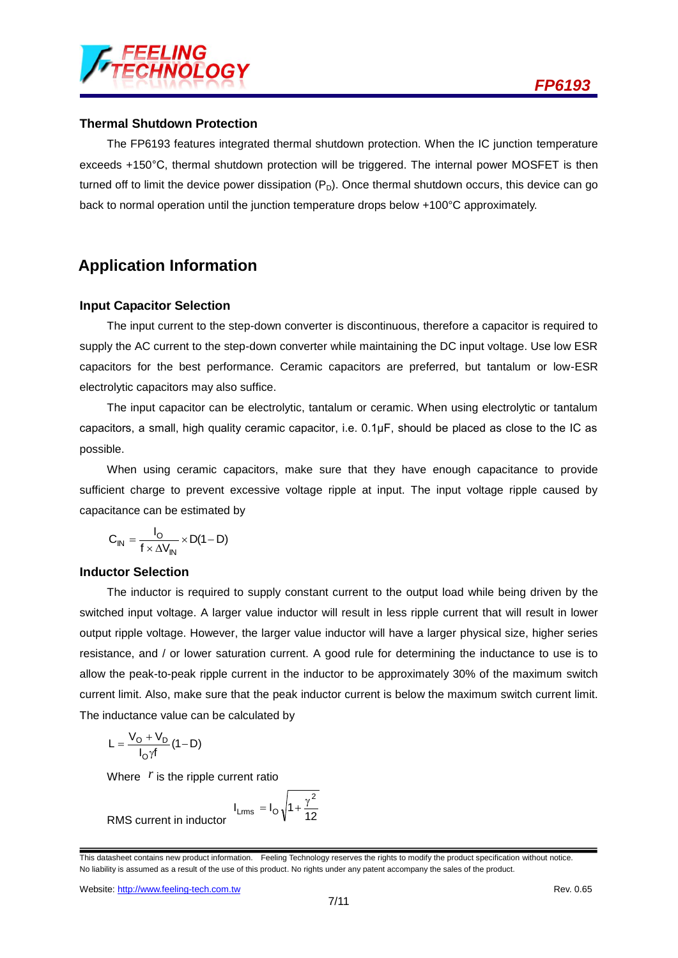

#### **Thermal Shutdown Protection**

The FP6193 features integrated thermal shutdown protection. When the IC junction temperature exceeds +150°C, thermal shutdown protection will be triggered. The internal power MOSFET is then turned off to limit the device power dissipation  $(P_D)$ . Once thermal shutdown occurs, this device can go back to normal operation until the junction temperature drops below +100°C approximately.

## **Application Information**

#### **Input Capacitor Selection**

The input current to the step-down converter is discontinuous, therefore a capacitor is required to supply the AC current to the step-down converter while maintaining the DC input voltage. Use low ESR capacitors for the best performance. Ceramic capacitors are preferred, but tantalum or low-ESR electrolytic capacitors may also suffice.

The input capacitor can be electrolytic, tantalum or ceramic. When using electrolytic or tantalum capacitors, a small, high quality ceramic capacitor, i.e. 0.1μF, should be placed as close to the IC as possible.

When using ceramic capacitors, make sure that they have enough capacitance to provide sufficient charge to prevent excessive voltage ripple at input. The input voltage ripple caused by capacitance can be estimated by

$$
C_{IN} = \frac{I_O}{f \times \Delta V_{IN}} \times D(1 - D)
$$

#### **Inductor Selection**

The inductor is required to supply constant current to the output load while being driven by the switched input voltage. A larger value inductor will result in less ripple current that will result in lower output ripple voltage. However, the larger value inductor will have a larger physical size, higher series resistance, and / or lower saturation current. A good rule for determining the inductance to use is to allow the peak-to-peak ripple current in the inductor to be approximately 30% of the maximum switch current limit. Also, make sure that the peak inductor current is below the maximum switch current limit. The inductance value can be calculated by

$$
L = \frac{V_O + V_D}{I_O \gamma f} (1 - D)
$$

Where  $r$  is the ripple current ratio

$$
I_{Lrms} = I_O \sqrt{1 + \frac{\gamma^2}{12}}
$$

RMS current in inductor

This datasheet contains new product information. Feeling Technology reserves the rights to modify the product specification without notice. No liability is assumed as a result of the use of this product. No rights under any patent accompany the sales of the product.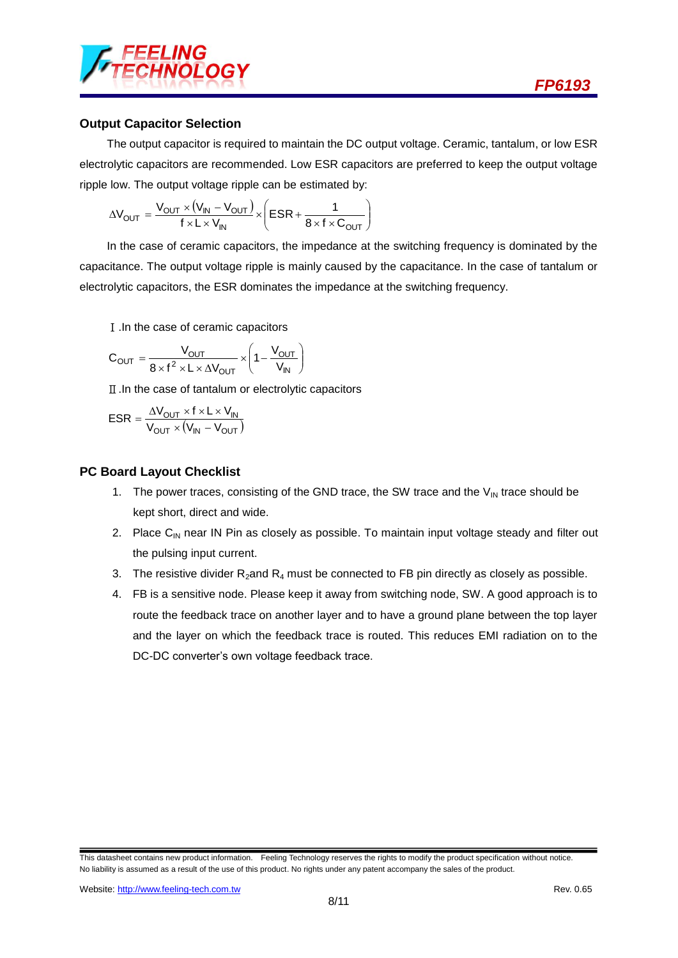

#### **Output Capacitor Selection**

The output capacitor is required to maintain the DC output voltage. Ceramic, tantalum, or low ESR electrolytic capacitors are recommended. Low ESR capacitors are preferred to keep the output voltage ripple low. The output voltage ripple can be estimated by:

$$
\Delta V_{OUT} = \frac{V_{OUT} \times (V_{IN} - V_{OUT})}{f \times L \times V_{IN}} \times \left(ESR + \frac{1}{8 \times f \times C_{OUT}}\right)
$$

In the case of ceramic capacitors, the impedance at the switching frequency is dominated by the capacitance. The output voltage ripple is mainly caused by the capacitance. In the case of tantalum or electrolytic capacitors, the ESR dominates the impedance at the switching frequency.

Ⅰ.In the case of ceramic capacitors

$$
C_{OUT} = \frac{V_{OUT}}{8 \times f^2 \times L \times \Delta V_{OUT}} \times \left(1 - \frac{V_{OUT}}{V_{IN}}\right)
$$

Ⅱ.In the case of tantalum or electrolytic capacitors

$$
ESR = \frac{\Delta V_{OUT} \times f \times L \times V_{IN}}{V_{OUT} \times (V_{IN} - V_{OUT})}
$$

#### **PC Board Layout Checklist**

- 1. The power traces, consisting of the GND trace, the SW trace and the  $V_{IN}$  trace should be kept short, direct and wide.
- 2. Place  $C_{IN}$  near IN Pin as closely as possible. To maintain input voltage steady and filter out the pulsing input current.
- 3. The resistive divider  $R_2$  and  $R_4$  must be connected to FB pin directly as closely as possible.
- 4. FB is a sensitive node. Please keep it away from switching node, SW. A good approach is to route the feedback trace on another layer and to have a ground plane between the top layer and the layer on which the feedback trace is routed. This reduces EMI radiation on to the DC-DC converter's own voltage feedback trace.

This datasheet contains new product information. Feeling Technology reserves the rights to modify the product specification without notice. No liability is assumed as a result of the use of this product. No rights under any patent accompany the sales of the product.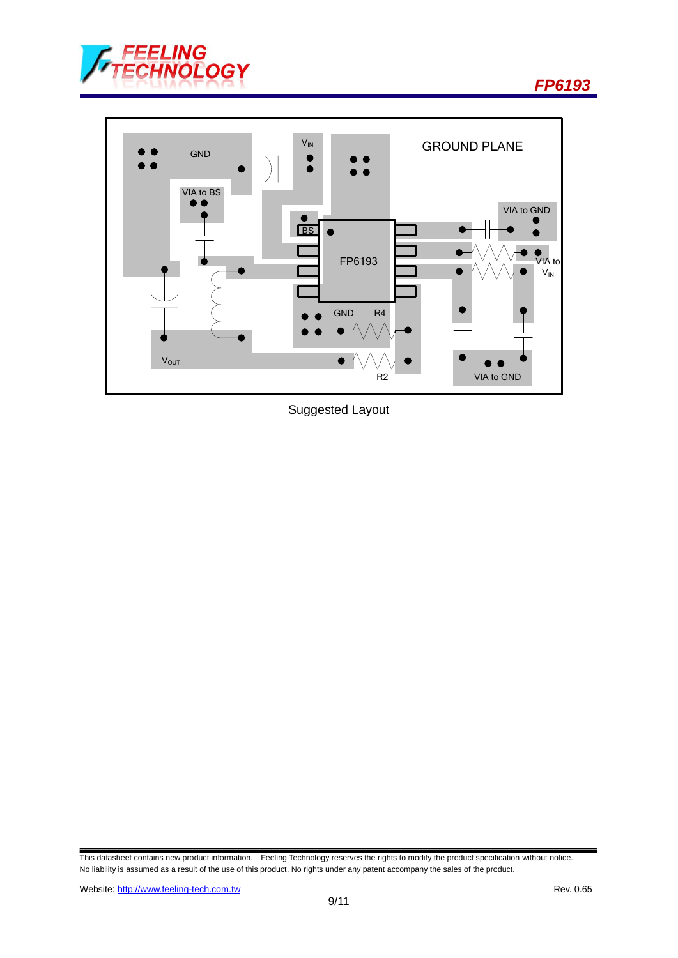

*FP6193*



Suggested Layout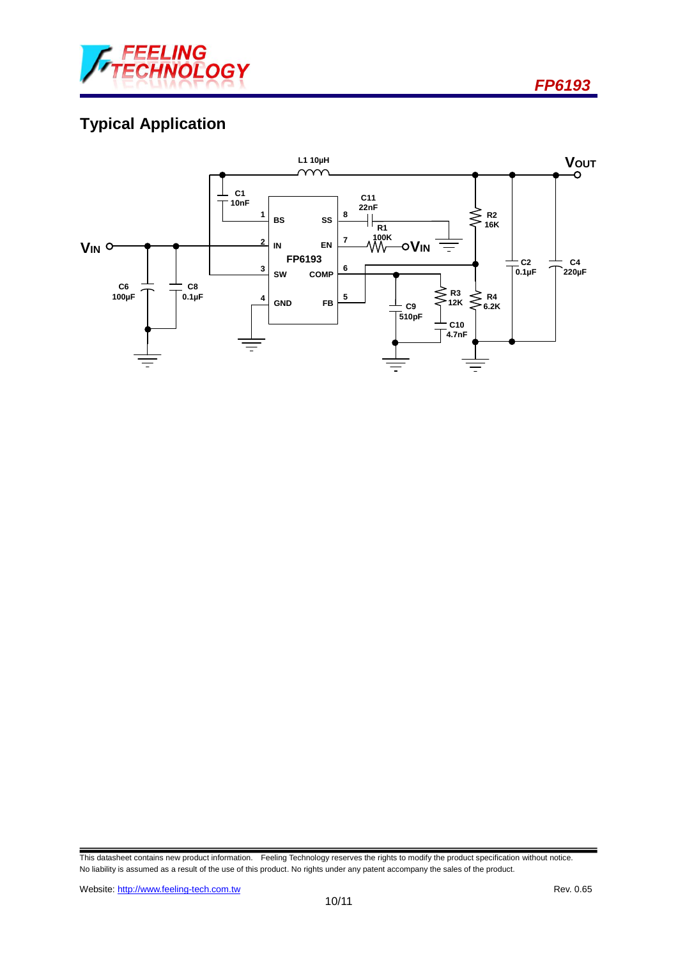

*FP6193*

# **Typical Application**